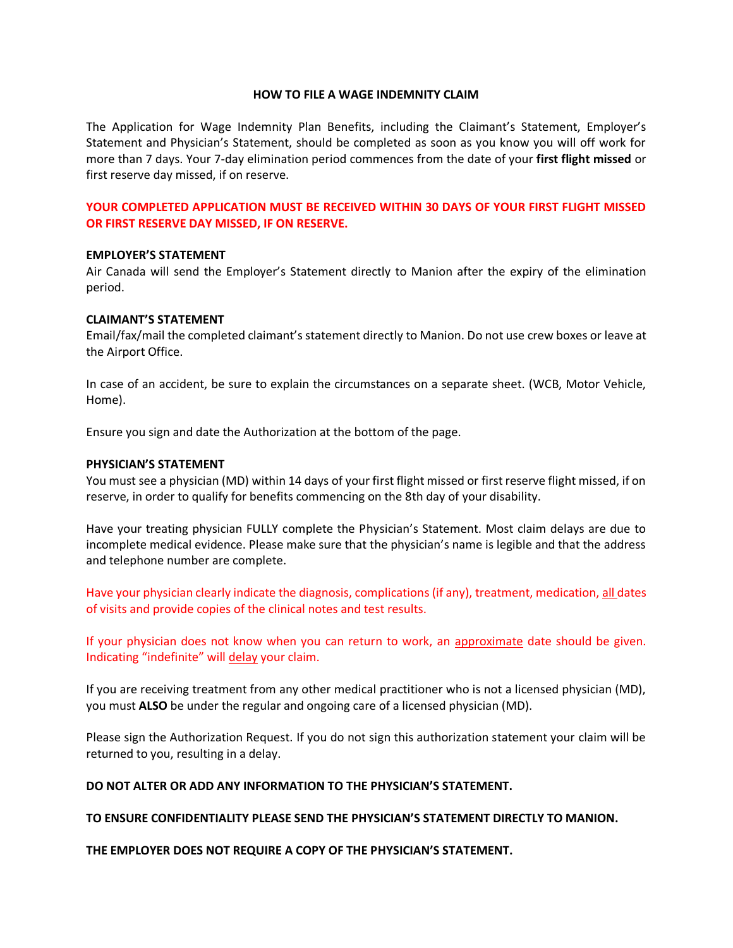### **HOW TO FILE A WAGE INDEMNITY CLAIM**

The Application for Wage Indemnity Plan Benefits, including the Claimant's Statement, Employer's Statement and Physician's Statement, should be completed as soon as you know you will off work for more than 7 days. Your 7-day elimination period commences from the date of your **first flight missed** or first reserve day missed, if on reserve.

## **YOUR COMPLETED APPLICATION MUST BE RECEIVED WITHIN 30 DAYS OF YOUR FIRST FLIGHT MISSED OR FIRST RESERVE DAY MISSED, IF ON RESERVE.**

### **EMPLOYER'S STATEMENT**

Air Canada will send the Employer's Statement directly to Manion after the expiry of the elimination period.

### **CLAIMANT'S STATEMENT**

Email/fax/mail the completed claimant's statement directly to Manion. Do not use crew boxes or leave at the Airport Office.

In case of an accident, be sure to explain the circumstances on a separate sheet. (WCB, Motor Vehicle, Home).

Ensure you sign and date the Authorization at the bottom of the page.

### **PHYSICIAN'S STATEMENT**

You must see a physician (MD) within 14 days of your first flight missed or first reserve flight missed, if on reserve, in order to qualify for benefits commencing on the 8th day of your disability.

Have your treating physician FULLY complete the Physician's Statement. Most claim delays are due to incomplete medical evidence. Please make sure that the physician's name is legible and that the address and telephone number are complete.

Have your physician clearly indicate the diagnosis, complications (if any), treatment, medication, all dates of visits and provide copies of the clinical notes and test results.

If your physician does not know when you can return to work, an approximate date should be given. Indicating "indefinite" will delay your claim.

If you are receiving treatment from any other medical practitioner who is not a licensed physician (MD), you must **ALSO** be under the regular and ongoing care of a licensed physician (MD).

Please sign the Authorization Request. If you do not sign this authorization statement your claim will be returned to you, resulting in a delay.

# **DO NOT ALTER OR ADD ANY INFORMATION TO THE PHYSICIAN'S STATEMENT.**

### **TO ENSURE CONFIDENTIALITY PLEASE SEND THE PHYSICIAN'S STATEMENT DIRECTLY TO MANION.**

**THE EMPLOYER DOES NOT REQUIRE A COPY OF THE PHYSICIAN'S STATEMENT.**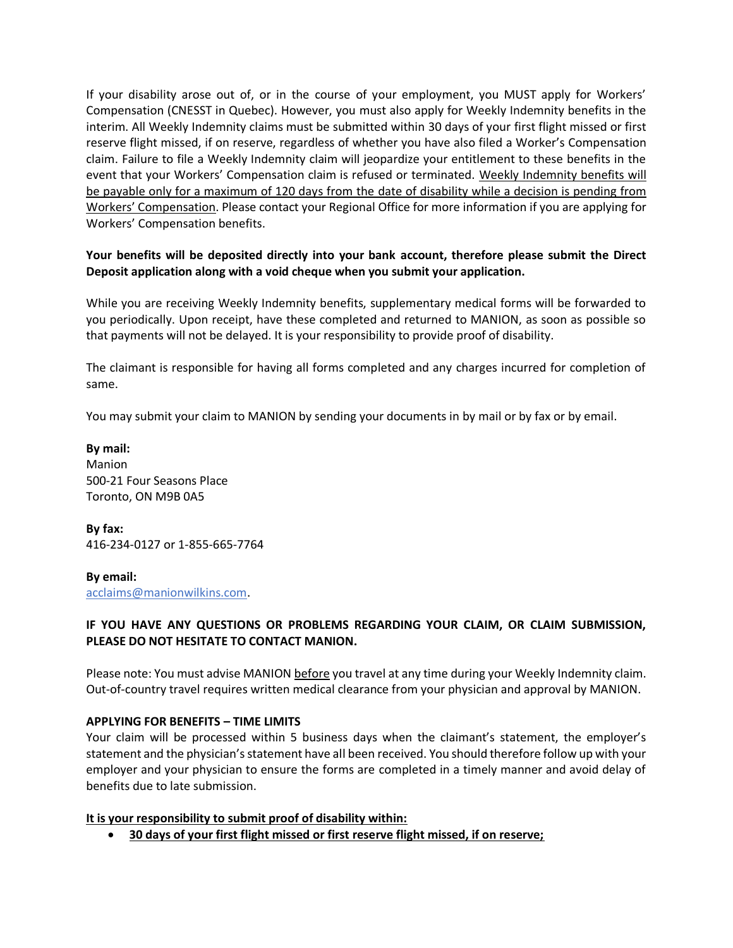If your disability arose out of, or in the course of your employment, you MUST apply for Workers' Compensation (CNESST in Quebec). However, you must also apply for Weekly Indemnity benefits in the interim. All Weekly Indemnity claims must be submitted within 30 days of your first flight missed or first reserve flight missed, if on reserve, regardless of whether you have also filed a Worker's Compensation claim. Failure to file a Weekly Indemnity claim will jeopardize your entitlement to these benefits in the event that your Workers' Compensation claim is refused or terminated. Weekly Indemnity benefits will be payable only for a maximum of 120 days from the date of disability while a decision is pending from Workers' Compensation. Please contact your Regional Office for more information if you are applying for Workers' Compensation benefits.

# **Your benefits will be deposited directly into your bank account, therefore please submit the Direct Deposit application along with a void cheque when you submit your application.**

While you are receiving Weekly Indemnity benefits, supplementary medical forms will be forwarded to you periodically. Upon receipt, have these completed and returned to MANION, as soon as possible so that payments will not be delayed. It is your responsibility to provide proof of disability.

The claimant is responsible for having all forms completed and any charges incurred for completion of same.

You may submit your claim to MANION by sending your documents in by mail or by fax or by email.

**By mail:** Manion 500-21 Four Seasons Place Toronto, ON M9B 0A5

**By fax:**  416-234-0127 or 1-855-665-7764

**By email:** acclaims@manionwilkins.com.

## **IF YOU HAVE ANY QUESTIONS OR PROBLEMS REGARDING YOUR CLAIM, OR CLAIM SUBMISSION, PLEASE DO NOT HESITATE TO CONTACT MANION.**

Please note: You must advise MANION before you travel at any time during your Weekly Indemnity claim. Out-of-country travel requires written medical clearance from your physician and approval by MANION.

## **APPLYING FOR BENEFITS – TIME LIMITS**

Your claim will be processed within 5 business days when the claimant's statement, the employer's statement and the physician's statement have all been received. You should therefore follow up with your employer and your physician to ensure the forms are completed in a timely manner and avoid delay of benefits due to late submission.

## **It is your responsibility to submit proof of disability within:**

• **30 days of your first flight missed or first reserve flight missed, if on reserve;**